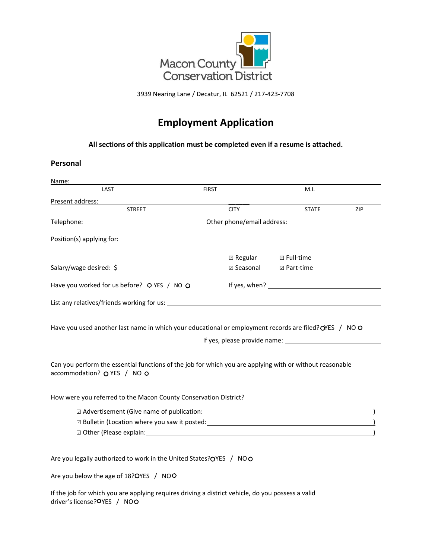

3939 Nearing Lane / Decatur, IL 62521 / 217-423-7708

# **Employment Application**

**All sections of this application must be completed even if a resume is attached.**

#### **Personal**

| Name:                                                                                                                                                                                                                                                                                                                                                                                                                                                           |                                                                                                                      |                            |     |
|-----------------------------------------------------------------------------------------------------------------------------------------------------------------------------------------------------------------------------------------------------------------------------------------------------------------------------------------------------------------------------------------------------------------------------------------------------------------|----------------------------------------------------------------------------------------------------------------------|----------------------------|-----|
| LAST                                                                                                                                                                                                                                                                                                                                                                                                                                                            | <b>FIRST</b>                                                                                                         | M.I.                       |     |
| Present address:                                                                                                                                                                                                                                                                                                                                                                                                                                                |                                                                                                                      |                            |     |
| <b>STREET</b>                                                                                                                                                                                                                                                                                                                                                                                                                                                   | <b>CITY</b>                                                                                                          | <b>STATE</b>               | ZIP |
| Telephone:                                                                                                                                                                                                                                                                                                                                                                                                                                                      | Other phone/email address:                                                                                           |                            |     |
| Position(s) applying for:                                                                                                                                                                                                                                                                                                                                                                                                                                       | <u> 1980 - Johann Stein, marwolaethau a bhann an t-Amhair ann an t-Amhair an t-Amhair an t-Amhair an t-Amhair an</u> |                            |     |
| Salary/wage desired: \$                                                                                                                                                                                                                                                                                                                                                                                                                                         | $\Box$ Regular<br><b>□ Seasonal</b>                                                                                  | □ Full-time<br>□ Part-time |     |
| Have you worked for us before? O YES / NO O                                                                                                                                                                                                                                                                                                                                                                                                                     |                                                                                                                      |                            |     |
| List any relatives/friends working for us: Notified and the state of the state of the state of the state of the state of the state of the state of the state of the state of the state of the state of the state of the state                                                                                                                                                                                                                                   |                                                                                                                      |                            |     |
| Have you used another last name in which your educational or employment records are filed? OYES / NOO<br>Can you perform the essential functions of the job for which you are applying with or without reasonable<br>accommodation? O YES / NO O                                                                                                                                                                                                                | If yes, please provide name: 1999 and 1999 and 1999 and 1999 and 1999 and 1999 and 1999 and 1999 and 1999 and 1      |                            |     |
| How were you referred to the Macon County Conservation District?                                                                                                                                                                                                                                                                                                                                                                                                |                                                                                                                      |                            |     |
| D Advertisement (Give name of publication: \\sqrtdgs\\sqrtdgs\sqrtdgs\sqrtdgs\sqrtdgs\sqrtdgs\sqrtdgs\sqrtdgs\sqrtdgs\sqrtdgs\sqrtdgs\sqrtdgs\sqrtdgs\sqrtdgs\sqrtdgs\sqrtdgs\sqrtdgs\sqrtdgs\sqrtdgs\sqrtdgs\sqrtdgs\sqrtdgs\<br>□ Other (Please explain: University of the contract of the contract of the contract of the contract of the contract of the contract of the contract of the contract of the contract of the contract of the contract of the co |                                                                                                                      |                            |     |
| Are you legally authorized to work in the United States?OYES / NOO                                                                                                                                                                                                                                                                                                                                                                                              |                                                                                                                      |                            |     |
| Are you below the age of 18?OYES / NOO                                                                                                                                                                                                                                                                                                                                                                                                                          |                                                                                                                      |                            |     |

If the job for which you are applying requires driving a district vehicle, do you possess a valid driver's license? OYES / NOO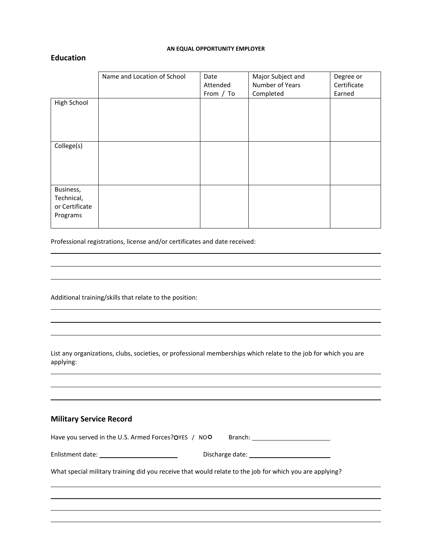#### **AN EQUAL OPPORTUNITY EMPLOYER**

#### **Education**

|                                                       | Name and Location of School | Date<br>Attended | Major Subject and<br>Number of Years | Degree or<br>Certificate |
|-------------------------------------------------------|-----------------------------|------------------|--------------------------------------|--------------------------|
|                                                       |                             | From / To        | Completed                            | Earned                   |
| High School                                           |                             |                  |                                      |                          |
| College(s)                                            |                             |                  |                                      |                          |
| Business,<br>Technical,<br>or Certificate<br>Programs |                             |                  |                                      |                          |

Professional registrations, license and/or certificates and date received:

Additional training/skills that relate to the position:

List any organizations, clubs, societies, or professional memberships which relate to the job for which you are applying:

#### **Military Service Record**

Have you served in the U.S. Armed Forces? OYES / NOO Branch: \_\_\_\_\_\_\_\_\_\_\_\_\_\_\_\_\_\_\_

| Enlistment date: | Discharge date: |
|------------------|-----------------|
|------------------|-----------------|

What special military training did you receive that would relate to the job for which you are applying?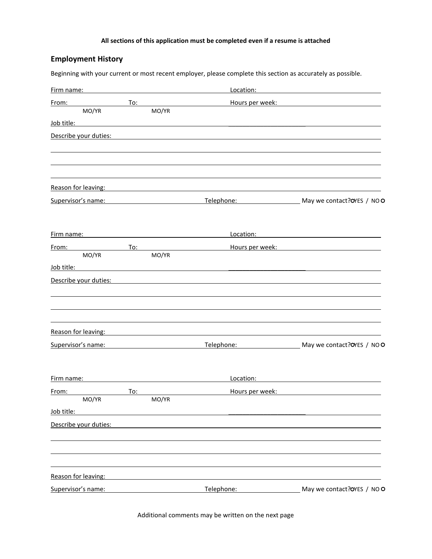#### **All sections of this application must be completed even if a resume is attached**

## **Employment History**

Beginning with your current or most recent employer, please complete this section as accurately as possible.

| Firm name:                                                                                                                                                                                                                           |     |       | Location:                                                                                                                                                                                                                            | the control of the control of the control of the control of the control of the control of                                                                                                                                      |
|--------------------------------------------------------------------------------------------------------------------------------------------------------------------------------------------------------------------------------------|-----|-------|--------------------------------------------------------------------------------------------------------------------------------------------------------------------------------------------------------------------------------------|--------------------------------------------------------------------------------------------------------------------------------------------------------------------------------------------------------------------------------|
| From:                                                                                                                                                                                                                                | To: |       |                                                                                                                                                                                                                                      | Hours per week: Note that the state of the state of the state of the state of the state of the state of the state of the state of the state of the state of the state of the state of the state of the state of the state of t |
| MO/YR                                                                                                                                                                                                                                |     | MO/YR |                                                                                                                                                                                                                                      |                                                                                                                                                                                                                                |
| Job title:                                                                                                                                                                                                                           |     |       |                                                                                                                                                                                                                                      |                                                                                                                                                                                                                                |
| Describe your duties:                                                                                                                                                                                                                |     |       |                                                                                                                                                                                                                                      |                                                                                                                                                                                                                                |
|                                                                                                                                                                                                                                      |     |       |                                                                                                                                                                                                                                      |                                                                                                                                                                                                                                |
|                                                                                                                                                                                                                                      |     |       |                                                                                                                                                                                                                                      |                                                                                                                                                                                                                                |
|                                                                                                                                                                                                                                      |     |       | Reason for leaving: example and a series of the series of the series of the series of the series of the series                                                                                                                       |                                                                                                                                                                                                                                |
| Supervisor's name: Supervisor of the Supervisor's name:                                                                                                                                                                              |     |       | Telephone: Telephone:                                                                                                                                                                                                                | May we contact?OYES / NOO                                                                                                                                                                                                      |
|                                                                                                                                                                                                                                      |     |       |                                                                                                                                                                                                                                      |                                                                                                                                                                                                                                |
| Firm name:                                                                                                                                                                                                                           |     |       | Location:                                                                                                                                                                                                                            |                                                                                                                                                                                                                                |
| From:<br>MO/YR                                                                                                                                                                                                                       | To: | MO/YR |                                                                                                                                                                                                                                      | Hours per week: Note that the state of the state of the state of the state of the state of the state of the state of the state of the state of the state of the state of the state of the state of the state of the state of t |
| <u>Job title: with the second contract of the second contract of the second contract of the second contract of the second contract of the second contract of the second contract of the second contract of the second contract o</u> |     |       |                                                                                                                                                                                                                                      |                                                                                                                                                                                                                                |
| Describe your duties:                                                                                                                                                                                                                |     |       |                                                                                                                                                                                                                                      |                                                                                                                                                                                                                                |
|                                                                                                                                                                                                                                      |     |       |                                                                                                                                                                                                                                      |                                                                                                                                                                                                                                |
|                                                                                                                                                                                                                                      |     |       |                                                                                                                                                                                                                                      |                                                                                                                                                                                                                                |
|                                                                                                                                                                                                                                      |     |       | Reason for leaving: The above and the set of the set of the set of the set of the set of the set of the set of                                                                                                                       |                                                                                                                                                                                                                                |
|                                                                                                                                                                                                                                      |     |       |                                                                                                                                                                                                                                      | Supervisor's name: Contract? OVES / NOO                                                                                                                                                                                        |
| Firm name: The contract of the contract of the contract of the contract of the contract of the contract of the                                                                                                                       |     |       | Location:                                                                                                                                                                                                                            |                                                                                                                                                                                                                                |
| From:                                                                                                                                                                                                                                | To: |       | <u>Hours per week: with a set of the set of the set of the set of the set of the set of the set of the set of the set of the set of the set of the set of the set of the set of the set of the set of the set of the set of the </u> |                                                                                                                                                                                                                                |
| MO/YR                                                                                                                                                                                                                                |     | MO/YR |                                                                                                                                                                                                                                      |                                                                                                                                                                                                                                |
| Job title:                                                                                                                                                                                                                           |     |       |                                                                                                                                                                                                                                      |                                                                                                                                                                                                                                |
| Describe your duties:                                                                                                                                                                                                                |     |       |                                                                                                                                                                                                                                      |                                                                                                                                                                                                                                |
|                                                                                                                                                                                                                                      |     |       |                                                                                                                                                                                                                                      |                                                                                                                                                                                                                                |
| Reason for leaving:                                                                                                                                                                                                                  |     |       |                                                                                                                                                                                                                                      |                                                                                                                                                                                                                                |
| Supervisor's name:                                                                                                                                                                                                                   |     |       | Telephone:                                                                                                                                                                                                                           | May we contact? OYES / NOO                                                                                                                                                                                                     |

Additional comments may be written on the next page